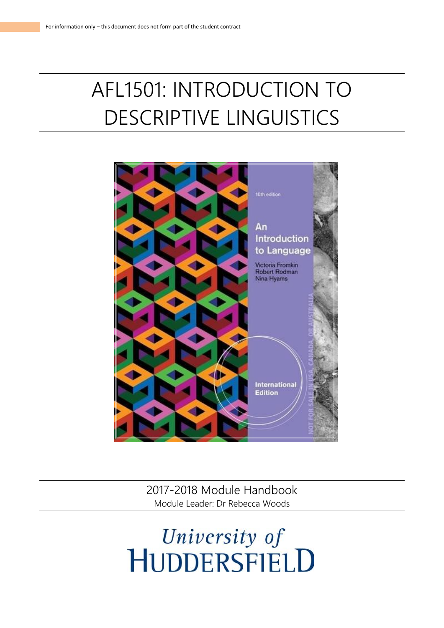# AFL1501: INTRODUCTION TO DESCRIPTIVE LINGUISTICS



2017-2018 Module Handbook Module Leader: Dr Rebecca Woods

# University of<br>HUDDERSFIELD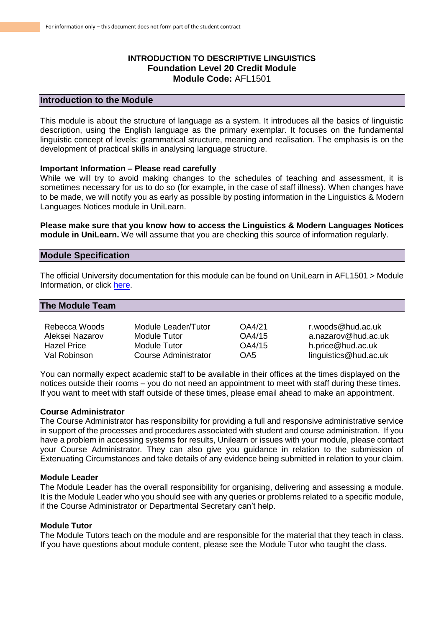# **INTRODUCTION TO DESCRIPTIVE LINGUISTICS Foundation Level 20 Credit Module Module Code:** AFL1501

# **Introduction to the Module**

This module is about the structure of language as a system. It introduces all the basics of linguistic description, using the English language as the primary exemplar. It focuses on the fundamental linguistic concept of levels: grammatical structure, meaning and realisation. The emphasis is on the development of practical skills in analysing language structure.

### **Important Information – Please read carefully**

While we will try to avoid making changes to the schedules of teaching and assessment, it is sometimes necessary for us to do so (for example, in the case of staff illness). When changes have to be made, we will notify you as early as possible by posting information in the Linguistics & Modern Languages Notices module in UniLearn.

**Please make sure that you know how to access the Linguistics & Modern Languages Notices module in UniLearn.** We will assume that you are checking this source of information regularly.

# **Module Specification**

The official University documentation for this module can be found on UniLearn in AFL1501 > Module Information, or click [here.](https://unilearn.hud.ac.uk/webapps/blackboard/content/listContent.jsp?course_id=_29249_1&content_id=_2126018_1&mode=reset)

# **The Module Team**

| Rebecca Woods   | Module Leader/Tutor  | OA4/21 | r.woods@hud.ac.uk     |
|-----------------|----------------------|--------|-----------------------|
| Aleksei Nazarov | Module Tutor         | OA4/15 | a.nazarov@hud.ac.uk   |
| Hazel Price     | Module Tutor         | OA4/15 | h.price@hud.ac.uk     |
| Val Robinson.   | Course Administrator | OA5    | linguistics@hud.ac.uk |

You can normally expect academic staff to be available in their offices at the times displayed on the notices outside their rooms – you do not need an appointment to meet with staff during these times. If you want to meet with staff outside of these times, please email ahead to make an appointment.

## **Course Administrator**

The Course Administrator has responsibility for providing a full and responsive administrative service in support of the processes and procedures associated with student and course administration. If you have a problem in accessing systems for results, Unilearn or issues with your module, please contact your Course Administrator. They can also give you guidance in relation to the submission of Extenuating Circumstances and take details of any evidence being submitted in relation to your claim.

## **Module Leader**

The Module Leader has the overall responsibility for organising, delivering and assessing a module. It is the Module Leader who you should see with any queries or problems related to a specific module, if the Course Administrator or Departmental Secretary can't help.

# **Module Tutor**

The Module Tutors teach on the module and are responsible for the material that they teach in class. If you have questions about module content, please see the Module Tutor who taught the class.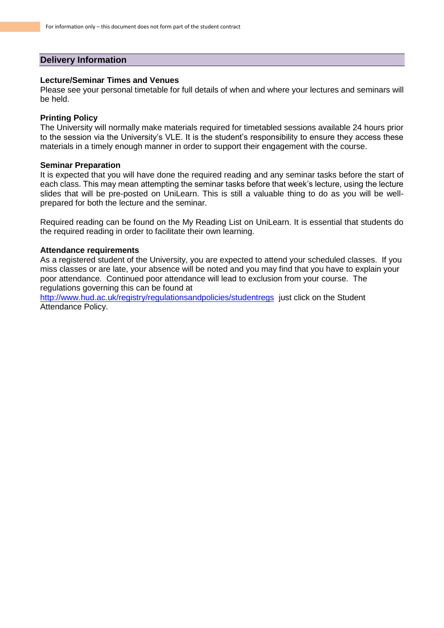# **Delivery Information**

# **Lecture/Seminar Times and Venues**

Please see your personal timetable for full details of when and where your lectures and seminars will be held.

# **Printing Policy**

The University will normally make materials required for timetabled sessions available 24 hours prior to the session via the University's VLE. It is the student's responsibility to ensure they access these materials in a timely enough manner in order to support their engagement with the course.

#### **Seminar Preparation**

It is expected that you will have done the required reading and any seminar tasks before the start of each class. This may mean attempting the seminar tasks before that week's lecture, using the lecture slides that will be pre-posted on UniLearn. This is still a valuable thing to do as you will be wellprepared for both the lecture and the seminar.

Required reading can be found on the My Reading List on UniLearn. It is essential that students do the required reading in order to facilitate their own learning.

## **Attendance requirements**

As a registered student of the University, you are expected to attend your scheduled classes. If you miss classes or are late, your absence will be noted and you may find that you have to explain your poor attendance. Continued poor attendance will lead to exclusion from your course. The regulations governing this can be found at

<http://www.hud.ac.uk/registry/regulationsandpolicies/studentregs>just click on the Student Attendance Policy.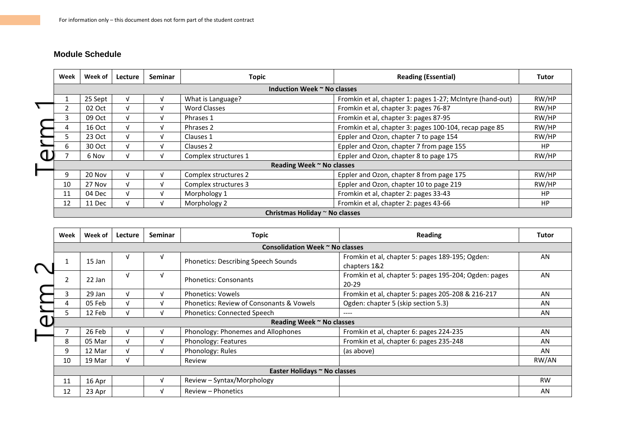# **Module Schedule**

|                             | Week                           | Week of | Lecture | <b>Seminar</b> | <b>Topic</b>         | <b>Reading (Essential)</b>                                | <b>Tutor</b> |
|-----------------------------|--------------------------------|---------|---------|----------------|----------------------|-----------------------------------------------------------|--------------|
| Induction Week ~ No classes |                                |         |         |                |                      |                                                           |              |
|                             |                                | 25 Sept |         |                | What is Language?    | Fromkin et al, chapter 1: pages 1-27; McIntyre (hand-out) | RW/HP        |
|                             |                                | 02 Oct  |         |                | <b>Word Classes</b>  | Fromkin et al, chapter 3: pages 76-87                     | RW/HP        |
|                             | 3                              | 09 Oct  |         | $\mathbf{u}$   | Phrases 1            | Fromkin et al, chapter 3: pages 87-95                     | RW/HP        |
|                             | 4                              | 16 Oct  | N       | $\mathbf{v}$   | Phrases 2            | Fromkin et al, chapter 3: pages 100-104, recap page 85    | RW/HP        |
|                             | 5                              | 23 Oct  | N       | V              | Clauses 1            | Eppler and Ozon, chapter 7 to page 154                    | RW/HP        |
|                             | 6                              | 30 Oct  |         | $\mathbf{v}$   | Clauses 2            | Eppler and Ozon, chapter 7 from page 155                  | <b>HP</b>    |
|                             |                                | 6 Nov   |         |                | Complex structures 1 | Eppler and Ozon, chapter 8 to page 175                    | RW/HP        |
|                             | Reading Week ~ No classes      |         |         |                |                      |                                                           |              |
|                             | 9                              | 20 Nov  |         |                | Complex structures 2 | Eppler and Ozon, chapter 8 from page 175                  | RW/HP        |
|                             | 10                             | 27 Nov  | N       | M              | Complex structures 3 | Eppler and Ozon, chapter 10 to page 219                   | RW/HP        |
|                             | 11                             | 04 Dec  |         | J              | Morphology 1         | Fromkin et al, chapter 2: pages 33-43                     | <b>HP</b>    |
|                             | 12                             | 11 Dec  |         |                | Morphology 2         | Fromkin et al, chapter 2: pages 43-66                     | <b>HP</b>    |
|                             | Christmas Holiday ~ No classes |         |         |                |                      |                                                           |              |

|                              | Week                            | Week of | Lecture | Seminar | <b>Topic</b>                             | Reading                                                            | <b>Tutor</b> |
|------------------------------|---------------------------------|---------|---------|---------|------------------------------------------|--------------------------------------------------------------------|--------------|
|                              | Consolidation Week ~ No classes |         |         |         |                                          |                                                                    |              |
| ⌒                            | $\mathbf{1}$                    | 15 Jan  | V       | V       | Phonetics: Describing Speech Sounds      | Fromkin et al, chapter 5: pages 189-195; Ogden:<br>chapters 1&2    | AN           |
|                              | 2                               | 22 Jan  | V       | v       | <b>Phonetics: Consonants</b>             | Fromkin et al, chapter 5: pages 195-204; Ogden: pages<br>$20 - 29$ | AN           |
|                              | 3                               | 29 Jan  | V       | v       | <b>Phonetics: Vowels</b>                 | Fromkin et al, chapter 5: pages 205-208 & 216-217                  | AN           |
|                              |                                 | 05 Feb  | V       | v       | Phonetics: Review of Consonants & Vowels | Ogden: chapter 5 (skip section 5.3)                                | AN           |
|                              | 5.                              | 12 Feb  | v       | v       | <b>Phonetics: Connected Speech</b>       | ----                                                               | AN           |
|                              | Reading Week ~ No classes       |         |         |         |                                          |                                                                    |              |
|                              |                                 | 26 Feb  | V       |         | Phonology: Phonemes and Allophones       | Fromkin et al, chapter 6: pages 224-235                            | AN           |
|                              | 8                               | 05 Mar  | V       | v       | Phonology: Features                      | Fromkin et al, chapter 6: pages 235-248                            | AN           |
|                              | 9                               | 12 Mar  | V       | v       | Phonology: Rules                         | (as above)                                                         | AN           |
|                              | 10                              | 19 Mar  | V       |         | Review                                   |                                                                    | RW/AN        |
| Easter Holidays ~ No classes |                                 |         |         |         |                                          |                                                                    |              |
|                              | 11                              | 16 Apr  |         | v       | Review - Syntax/Morphology               |                                                                    | <b>RW</b>    |
|                              | 12                              | 23 Apr  |         | V       | Review - Phonetics                       |                                                                    | AN           |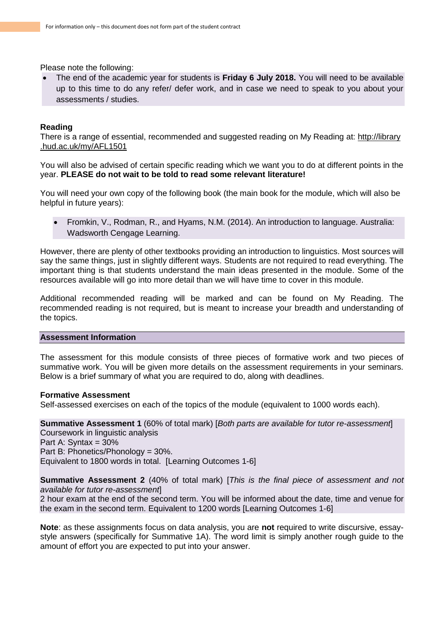Please note the following:

 The end of the academic year for students is **Friday 6 July 2018.** You will need to be available up to this time to do any refer/ defer work, and in case we need to speak to you about your assessments / studies.

# **Reading**

There is a range of essential, recommended and suggested reading on My Reading at: http://library .hud.ac.uk/my/AFL1501

You will also be advised of certain specific reading which we want you to do at different points in the year. **PLEASE do not wait to be told to read some relevant literature!**

You will need your own copy of the following book (the main book for the module, which will also be helpful in future years):

 Fromkin, V., Rodman, R., and Hyams, N.M. (2014). An introduction to language. Australia: Wadsworth Cengage Learning.

However, there are plenty of other textbooks providing an introduction to linguistics. Most sources will say the same things, just in slightly different ways. Students are not required to read everything. The important thing is that students understand the main ideas presented in the module. Some of the resources available will go into more detail than we will have time to cover in this module.

Additional recommended reading will be marked and can be found on My Reading. The recommended reading is not required, but is meant to increase your breadth and understanding of the topics.

# **Assessment Information**

The assessment for this module consists of three pieces of formative work and two pieces of summative work. You will be given more details on the assessment requirements in your seminars. Below is a brief summary of what you are required to do, along with deadlines.

# **Formative Assessment**

Self-assessed exercises on each of the topics of the module (equivalent to 1000 words each).

**Summative Assessment 1** (60% of total mark) [*Both parts are available for tutor re-assessment*] Coursework in linguistic analysis Part A: Syntax = 30% Part B: Phonetics/Phonology = 30%. Equivalent to 1800 words in total. [Learning Outcomes 1-6]

**Summative Assessment 2** (40% of total mark) [*This is the final piece of assessment and not available for tutor re-assessment*]

2 hour exam at the end of the second term. You will be informed about the date, time and venue for the exam in the second term. Equivalent to 1200 words [Learning Outcomes 1-6]

**Note**: as these assignments focus on data analysis, you are **not** required to write discursive, essaystyle answers (specifically for Summative 1A). The word limit is simply another rough guide to the amount of effort you are expected to put into your answer.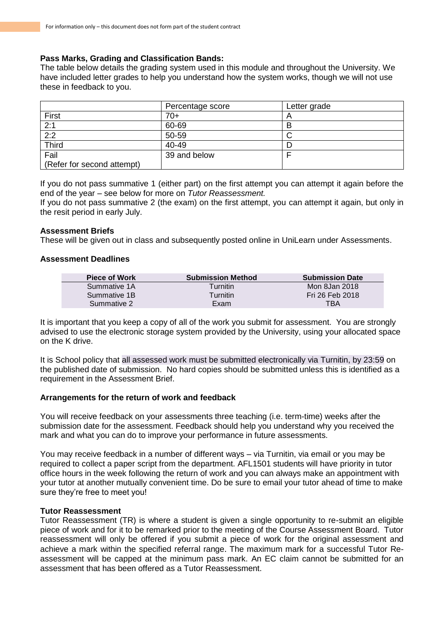# **Pass Marks, Grading and Classification Bands:**

The table below details the grading system used in this module and throughout the University. We have included letter grades to help you understand how the system works, though we will not use these in feedback to you.

|                            | Percentage score | Letter grade |
|----------------------------|------------------|--------------|
| First                      | $70+$            |              |
| 2:1                        | 60-69            |              |
| 2:2                        | 50-59            |              |
| <b>Third</b>               | 40-49            |              |
| Fail                       | 39 and below     |              |
| (Refer for second attempt) |                  |              |

If you do not pass summative 1 (either part) on the first attempt you can attempt it again before the end of the year – see below for more on *Tutor Reassessment.*

If you do not pass summative 2 (the exam) on the first attempt, you can attempt it again, but only in the resit period in early July.

# **Assessment Briefs**

These will be given out in class and subsequently posted online in UniLearn under Assessments.

# **Assessment Deadlines**

| <b>Piece of Work</b> | <b>Submission Method</b> | <b>Submission Date</b> |
|----------------------|--------------------------|------------------------|
| Summative 1A         | Turnitin                 | Mon 8Jan 2018          |
| Summative 1B         | Turnitin                 | Fri 26 Feb 2018        |
| Summative 2          | Exam                     | TBA                    |

It is important that you keep a copy of all of the work you submit for assessment. You are strongly advised to use the electronic storage system provided by the University, using your allocated space on the K drive.

It is School policy that all assessed work must be submitted electronically via Turnitin, by 23:59 on the published date of submission. No hard copies should be submitted unless this is identified as a requirement in the Assessment Brief.

# **Arrangements for the return of work and feedback**

You will receive feedback on your assessments three teaching (i.e. term-time) weeks after the submission date for the assessment. Feedback should help you understand why you received the mark and what you can do to improve your performance in future assessments.

You may receive feedback in a number of different ways – via Turnitin, via email or you may be required to collect a paper script from the department. AFL1501 students will have priority in tutor office hours in the week following the return of work and you can always make an appointment with your tutor at another mutually convenient time. Do be sure to email your tutor ahead of time to make sure they're free to meet you!

# **Tutor Reassessment**

Tutor Reassessment (TR) is where a student is given a single opportunity to re-submit an eligible piece of work and for it to be remarked prior to the meeting of the Course Assessment Board. Tutor reassessment will only be offered if you submit a piece of work for the original assessment and achieve a mark within the specified referral range. The maximum mark for a successful Tutor Reassessment will be capped at the minimum pass mark. An EC claim cannot be submitted for an assessment that has been offered as a Tutor Reassessment.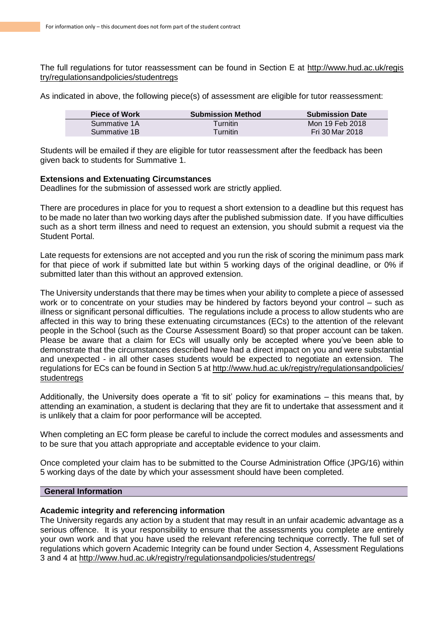The full regulations for tutor reassessment can be found in Section E at http://www.hud.ac.uk/regis try/regulationsandpolicies/studentregs

As indicated in above, the following piece(s) of assessment are eligible for tutor reassessment:

| <b>Piece of Work</b> | <b>Submission Method</b> | <b>Submission Date</b> |
|----------------------|--------------------------|------------------------|
| Summative 1A         | <b>Turnitin</b>          | Mon 19 Feb 2018        |
| Summative 1B         | Turnitin                 | Fri 30 Mar 2018        |

Students will be emailed if they are eligible for tutor reassessment after the feedback has been given back to students for Summative 1.

# **Extensions and Extenuating Circumstances**

Deadlines for the submission of assessed work are strictly applied.

There are procedures in place for you to request a short extension to a deadline but this request has to be made no later than two working days after the published submission date. If you have difficulties such as a short term illness and need to request an extension, you should submit a request via the Student Portal.

Late requests for extensions are not accepted and you run the risk of scoring the minimum pass mark for that piece of work if submitted late but within 5 working days of the original deadline, or 0% if submitted later than this without an approved extension.

The University understands that there may be times when your ability to complete a piece of assessed work or to concentrate on your studies may be hindered by factors beyond your control – such as illness or significant personal difficulties. The regulations include a process to allow students who are affected in this way to bring these extenuating circumstances (ECs) to the attention of the relevant people in the School (such as the Course Assessment Board) so that proper account can be taken. Please be aware that a claim for ECs will usually only be accepted where you've been able to demonstrate that the circumstances described have had a direct impact on you and were substantial and unexpected - in all other cases students would be expected to negotiate an extension. The regulations for ECs can be found in Section 5 at http://www.hud.ac.uk/registry/regulationsandpolicies/ studentregs

Additionally, the University does operate a 'fit to sit' policy for examinations – this means that, by attending an examination, a student is declaring that they are fit to undertake that assessment and it is unlikely that a claim for poor performance will be accepted.

When completing an EC form please be careful to include the correct modules and assessments and to be sure that you attach appropriate and acceptable evidence to your claim.

Once completed your claim has to be submitted to the Course Administration Office (JPG/16) within 5 working days of the date by which your assessment should have been completed.

# **General Information**

# **Academic integrity and referencing information**

The University regards any action by a student that may result in an unfair academic advantage as a serious offence. It is your responsibility to ensure that the assessments you complete are entirely your own work and that you have used the relevant referencing technique correctly. The full set of regulations which govern Academic Integrity can be found under Section 4, Assessment Regulations 3 and 4 at http://www.hud.ac.uk/registry/regulationsandpolicies/studentregs/